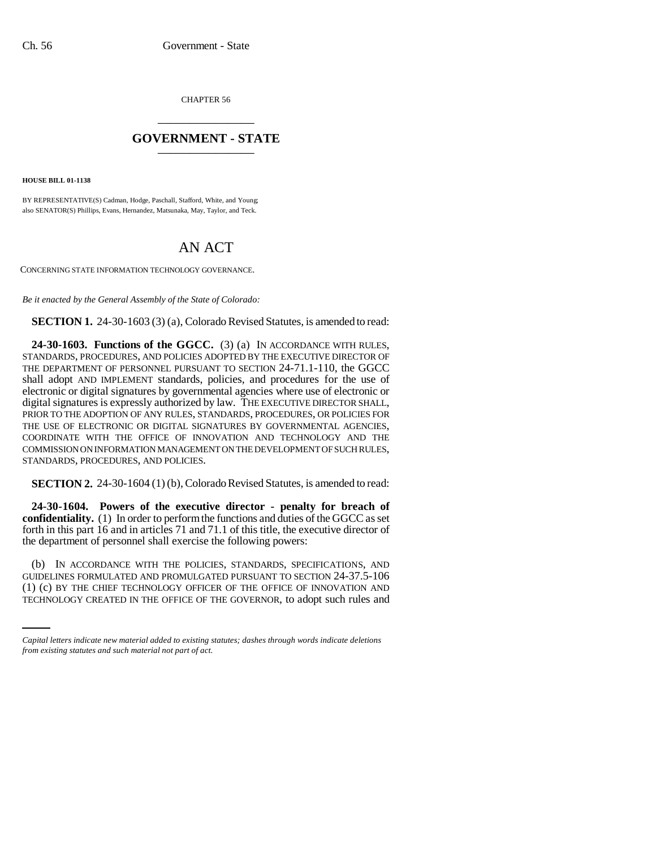CHAPTER 56 \_\_\_\_\_\_\_\_\_\_\_\_\_\_\_

## **GOVERNMENT - STATE** \_\_\_\_\_\_\_\_\_\_\_\_\_\_\_

**HOUSE BILL 01-1138**

BY REPRESENTATIVE(S) Cadman, Hodge, Paschall, Stafford, White, and Young; also SENATOR(S) Phillips, Evans, Hernandez, Matsunaka, May, Taylor, and Teck.

## AN ACT

CONCERNING STATE INFORMATION TECHNOLOGY GOVERNANCE.

*Be it enacted by the General Assembly of the State of Colorado:*

**SECTION 1.** 24-30-1603 (3) (a), Colorado Revised Statutes, is amended to read:

**24-30-1603. Functions of the GGCC.** (3) (a) IN ACCORDANCE WITH RULES, STANDARDS, PROCEDURES, AND POLICIES ADOPTED BY THE EXECUTIVE DIRECTOR OF THE DEPARTMENT OF PERSONNEL PURSUANT TO SECTION 24-71.1-110, the GGCC shall adopt AND IMPLEMENT standards, policies, and procedures for the use of electronic or digital signatures by governmental agencies where use of electronic or digital signatures is expressly authorized by law. THE EXECUTIVE DIRECTOR SHALL, PRIOR TO THE ADOPTION OF ANY RULES, STANDARDS, PROCEDURES, OR POLICIES FOR THE USE OF ELECTRONIC OR DIGITAL SIGNATURES BY GOVERNMENTAL AGENCIES, COORDINATE WITH THE OFFICE OF INNOVATION AND TECHNOLOGY AND THE COMMISSION ON INFORMATION MANAGEMENT ON THE DEVELOPMENT OF SUCH RULES, STANDARDS, PROCEDURES, AND POLICIES.

**SECTION 2.** 24-30-1604 (1) (b), Colorado Revised Statutes, is amended to read:

**24-30-1604. Powers of the executive director - penalty for breach of confidentiality.** (1) In order to perform the functions and duties of the GGCC as set forth in this part 16 and in articles 71 and 71.1 of this title, the executive director of the department of personnel shall exercise the following powers:

GUIDELINES FORMULATED AND PROMULGATED PURSUANT TO SECTION 24-37.5-106 (b) IN ACCORDANCE WITH THE POLICIES, STANDARDS, SPECIFICATIONS, AND (1) (c) BY THE CHIEF TECHNOLOGY OFFICER OF THE OFFICE OF INNOVATION AND TECHNOLOGY CREATED IN THE OFFICE OF THE GOVERNOR, to adopt such rules and

*Capital letters indicate new material added to existing statutes; dashes through words indicate deletions from existing statutes and such material not part of act.*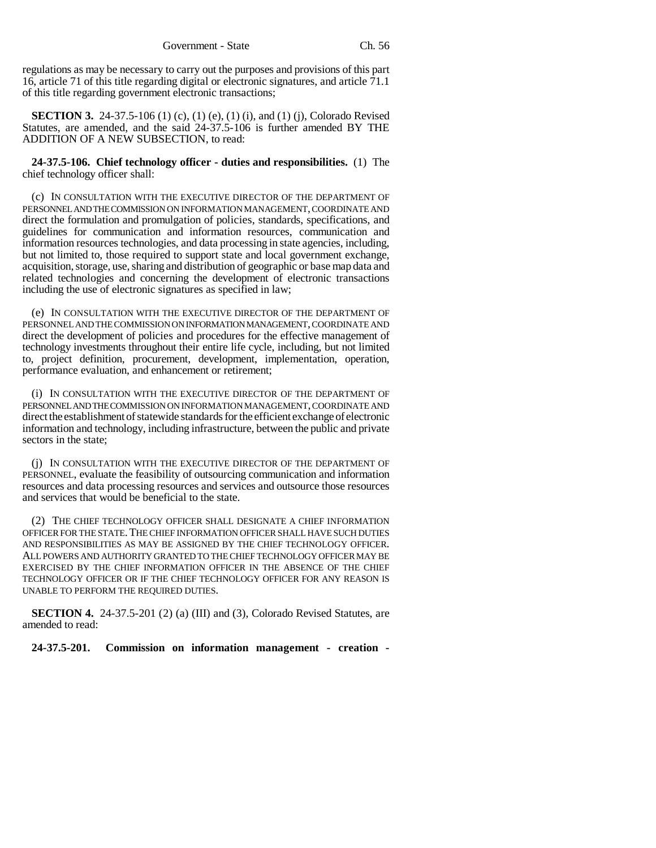regulations as may be necessary to carry out the purposes and provisions of this part 16, article 71 of this title regarding digital or electronic signatures, and article 71.1 of this title regarding government electronic transactions;

**SECTION 3.** 24-37.5-106 (1) (c), (1) (e), (1) (i), and (1) (j), Colorado Revised Statutes, are amended, and the said 24-37.5-106 is further amended BY THE ADDITION OF A NEW SUBSECTION, to read:

**24-37.5-106. Chief technology officer - duties and responsibilities.** (1) The chief technology officer shall:

(c) IN CONSULTATION WITH THE EXECUTIVE DIRECTOR OF THE DEPARTMENT OF PERSONNEL AND THE COMMISSION ON INFORMATION MANAGEMENT, COORDINATE AND direct the formulation and promulgation of policies, standards, specifications, and guidelines for communication and information resources, communication and information resources technologies, and data processing in state agencies, including, but not limited to, those required to support state and local government exchange, acquisition, storage, use, sharing and distribution of geographic or base map data and related technologies and concerning the development of electronic transactions including the use of electronic signatures as specified in law;

(e) IN CONSULTATION WITH THE EXECUTIVE DIRECTOR OF THE DEPARTMENT OF PERSONNEL AND THE COMMISSION ON INFORMATION MANAGEMENT, COORDINATE AND direct the development of policies and procedures for the effective management of technology investments throughout their entire life cycle, including, but not limited to, project definition, procurement, development, implementation, operation, performance evaluation, and enhancement or retirement;

(i) IN CONSULTATION WITH THE EXECUTIVE DIRECTOR OF THE DEPARTMENT OF PERSONNEL AND THE COMMISSION ON INFORMATION MANAGEMENT, COORDINATE AND direct the establishment of statewide standards for the efficient exchange of electronic information and technology, including infrastructure, between the public and private sectors in the state;

(j) IN CONSULTATION WITH THE EXECUTIVE DIRECTOR OF THE DEPARTMENT OF PERSONNEL, evaluate the feasibility of outsourcing communication and information resources and data processing resources and services and outsource those resources and services that would be beneficial to the state.

(2) THE CHIEF TECHNOLOGY OFFICER SHALL DESIGNATE A CHIEF INFORMATION OFFICER FOR THE STATE.THE CHIEF INFORMATION OFFICER SHALL HAVE SUCH DUTIES AND RESPONSIBILITIES AS MAY BE ASSIGNED BY THE CHIEF TECHNOLOGY OFFICER. ALL POWERS AND AUTHORITY GRANTED TO THE CHIEF TECHNOLOGY OFFICER MAY BE EXERCISED BY THE CHIEF INFORMATION OFFICER IN THE ABSENCE OF THE CHIEF TECHNOLOGY OFFICER OR IF THE CHIEF TECHNOLOGY OFFICER FOR ANY REASON IS UNABLE TO PERFORM THE REQUIRED DUTIES.

**SECTION 4.** 24-37.5-201 (2) (a) (III) and (3), Colorado Revised Statutes, are amended to read:

**24-37.5-201. Commission on information management - creation -**